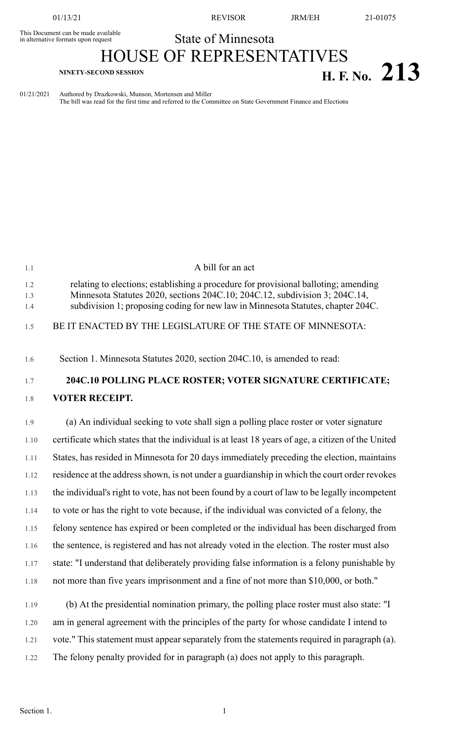This Document can be made available<br>in alternative formats upon request

01/13/21 REVISOR JRM/EH 21-01075

## State of Minnesota

## HOUSE OF REPRESENTATIVES **H. F. NO.** 213

1.1 A bill for an act

01/21/2021 Authored by Drazkowski, Munson, Mortensen and Miller The bill was read for the first time and referred to the Committee on State Government Finance and Elections

| 1.2<br>1.3<br>1.4 | relating to elections; establishing a procedure for provisional balloting; amending<br>Minnesota Statutes 2020, sections 204C.10; 204C.12, subdivision 3; 204C.14,<br>subdivision 1; proposing coding for new law in Minnesota Statutes, chapter 204C. |
|-------------------|--------------------------------------------------------------------------------------------------------------------------------------------------------------------------------------------------------------------------------------------------------|
| 1.5               | BE IT ENACTED BY THE LEGISLATURE OF THE STATE OF MINNESOTA:                                                                                                                                                                                            |
| 1.6               | Section 1. Minnesota Statutes 2020, section 204C.10, is amended to read:                                                                                                                                                                               |
| 1.7               | 204C.10 POLLING PLACE ROSTER; VOTER SIGNATURE CERTIFICATE;                                                                                                                                                                                             |
| 1.8               | <b>VOTER RECEIPT.</b>                                                                                                                                                                                                                                  |
| 1.9               | (a) An individual seeking to vote shall sign a polling place roster or voter signature                                                                                                                                                                 |
| 1.10              | certificate which states that the individual is at least 18 years of age, a citizen of the United                                                                                                                                                      |
| 1.11              | States, has resided in Minnesota for 20 days immediately preceding the election, maintains                                                                                                                                                             |
| 1.12              | residence at the address shown, is not under a guardianship in which the court order revokes                                                                                                                                                           |
| 1.13              | the individual's right to vote, has not been found by a court of law to be legally incompetent                                                                                                                                                         |
| 1.14              | to vote or has the right to vote because, if the individual was convicted of a felony, the                                                                                                                                                             |
| 1.15              | felony sentence has expired or been completed or the individual has been discharged from                                                                                                                                                               |
| 1.16              | the sentence, is registered and has not already voted in the election. The roster must also                                                                                                                                                            |
| 1.17              | state: "I understand that deliberately providing false information is a felony punishable by                                                                                                                                                           |
| 1.18              | not more than five years imprisonment and a fine of not more than \$10,000, or both."                                                                                                                                                                  |
| 1.19              | (b) At the presidential nomination primary, the polling place roster must also state: "I                                                                                                                                                               |
| 1.20              | am in general agreement with the principles of the party for whose candidate I intend to                                                                                                                                                               |
| 1.21              | vote." This statement must appear separately from the statements required in paragraph (a).                                                                                                                                                            |
| 1.22              | The felony penalty provided for in paragraph (a) does not apply to this paragraph.                                                                                                                                                                     |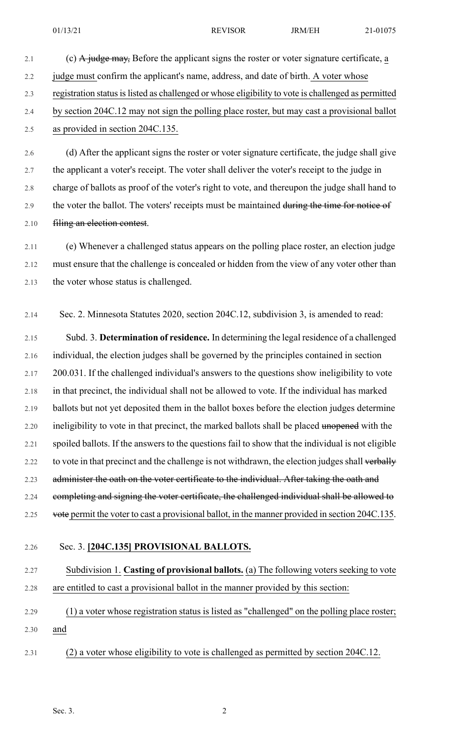- 2.1 (c) A judge may, Before the applicant signs the roster or voter signature certificate, a 2.2 judge must confirm the applicant's name, address, and date of birth. A voter whose 2.3 registration status is listed as challenged or whose eligibility to vote is challenged as permitted 2.4 by section 204C.12 may not sign the polling place roster, but may cast a provisional ballot 2.5 as provided in section 204C.135. 2.6 (d) After the applicant signs the roster or voter signature certificate, the judge shall give
- 2.7 the applicant a voter's receipt. The voter shall deliver the voter's receipt to the judge in 2.8 charge of ballots as proof of the voter's right to vote, and thereupon the judge shall hand to 2.9 the voter the ballot. The voters' receipts must be maintained during the time for notice of 2.10 **filing an election contest.**
- 2.11 (e) Whenever a challenged status appears on the polling place roster, an election judge 2.12 must ensure that the challenge is concealed or hidden from the view of any voter other than 2.13 the voter whose status is challenged.
- 2.14 Sec. 2. Minnesota Statutes 2020, section 204C.12, subdivision 3, is amended to read:
- 2.15 Subd. 3. **Determination of residence.** In determining the legal residence of a challenged 2.16 individual, the election judges shall be governed by the principles contained in section 2.17 200.031. If the challenged individual's answers to the questions show ineligibility to vote 2.18 in that precinct, the individual shall not be allowed to vote. If the individual has marked 2.19 ballots but not yet deposited them in the ballot boxes before the election judges determine 2.20 ineligibility to vote in that precinct, the marked ballots shall be placed unopened with the 2.21 spoiled ballots. If the answers to the questions fail to show that the individual is not eligible 2.22 to vote in that precinct and the challenge is not withdrawn, the election judges shall verbally 2.23 administer the oath on the voter certificate to the individual. After taking the oath and 2.24 completing and signing the voter certificate, the challenged individual shall be allowed to 2.25 vote permit the voter to cast a provisional ballot, in the manner provided in section 204C.135.
- 2.26 Sec. 3. **[204C.135] PROVISIONAL BALLOTS.**

## 2.27 Subdivision 1. **Casting of provisional ballots.** (a) The following voters seeking to vote 2.28 are entitled to cast a provisional ballot in the manner provided by this section:

- 2.29 (1) a voter whose registration status is listed as "challenged" on the polling place roster; 2.30 and
- 2.31 (2) a voter whose eligibility to vote is challenged as permitted by section 204C.12.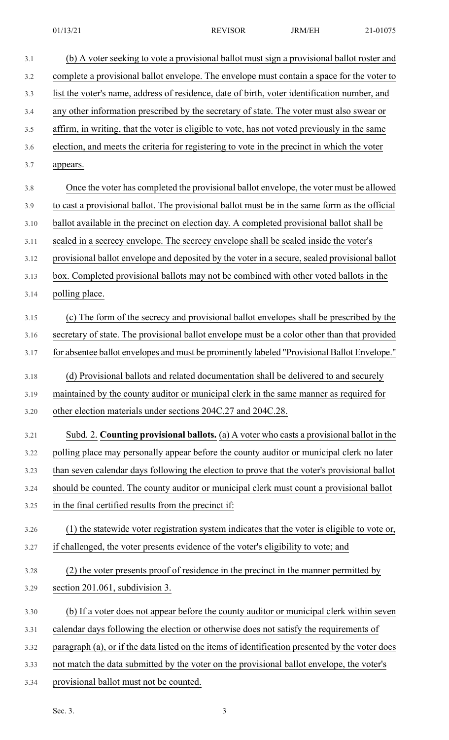| 3.1  | (b) A voter seeking to vote a provisional ballot must sign a provisional ballot roster and      |
|------|-------------------------------------------------------------------------------------------------|
| 3.2  | complete a provisional ballot envelope. The envelope must contain a space for the voter to      |
| 3.3  | list the voter's name, address of residence, date of birth, voter identification number, and    |
| 3.4  | any other information prescribed by the secretary of state. The voter must also swear or        |
| 3.5  | affirm, in writing, that the voter is eligible to vote, has not voted previously in the same    |
| 3.6  | election, and meets the criteria for registering to vote in the precinct in which the voter     |
| 3.7  | appears.                                                                                        |
| 3.8  | Once the voter has completed the provisional ballot envelope, the voter must be allowed         |
| 3.9  | to cast a provisional ballot. The provisional ballot must be in the same form as the official   |
| 3.10 | ballot available in the precinct on election day. A completed provisional ballot shall be       |
| 3.11 | sealed in a secrecy envelope. The secrecy envelope shall be sealed inside the voter's           |
| 3.12 | provisional ballot envelope and deposited by the voter in a secure, sealed provisional ballot   |
| 3.13 | box. Completed provisional ballots may not be combined with other voted ballots in the          |
| 3.14 | polling place.                                                                                  |
| 3.15 | (c) The form of the secrecy and provisional ballot envelopes shall be prescribed by the         |
| 3.16 | secretary of state. The provisional ballot envelope must be a color other than that provided    |
| 3.17 | for absentee ballot envelopes and must be prominently labeled "Provisional Ballot Envelope."    |
| 3.18 | (d) Provisional ballots and related documentation shall be delivered to and securely            |
| 3.19 | maintained by the county auditor or municipal clerk in the same manner as required for          |
| 3.20 | other election materials under sections 204C.27 and 204C.28.                                    |
| 3.21 | Subd. 2. Counting provisional ballots. (a) A voter who casts a provisional ballot in the        |
| 3.22 | polling place may personally appear before the county auditor or municipal clerk no later       |
| 3.23 | than seven calendar days following the election to prove that the voter's provisional ballot    |
| 3.24 | should be counted. The county auditor or municipal clerk must count a provisional ballot        |
| 3.25 | in the final certified results from the precinct if:                                            |
| 3.26 | (1) the statewide voter registration system indicates that the voter is eligible to vote or,    |
| 3.27 | if challenged, the voter presents evidence of the voter's eligibility to vote; and              |
| 3.28 | (2) the voter presents proof of residence in the precinct in the manner permitted by            |
| 3.29 | section 201.061, subdivision 3.                                                                 |
| 3.30 | (b) If a voter does not appear before the county auditor or municipal clerk within seven        |
| 3.31 | calendar days following the election or otherwise does not satisfy the requirements of          |
| 3.32 | paragraph (a), or if the data listed on the items of identification presented by the voter does |
| 3.33 | not match the data submitted by the voter on the provisional ballot envelope, the voter's       |
| 3.34 | provisional ballot must not be counted.                                                         |